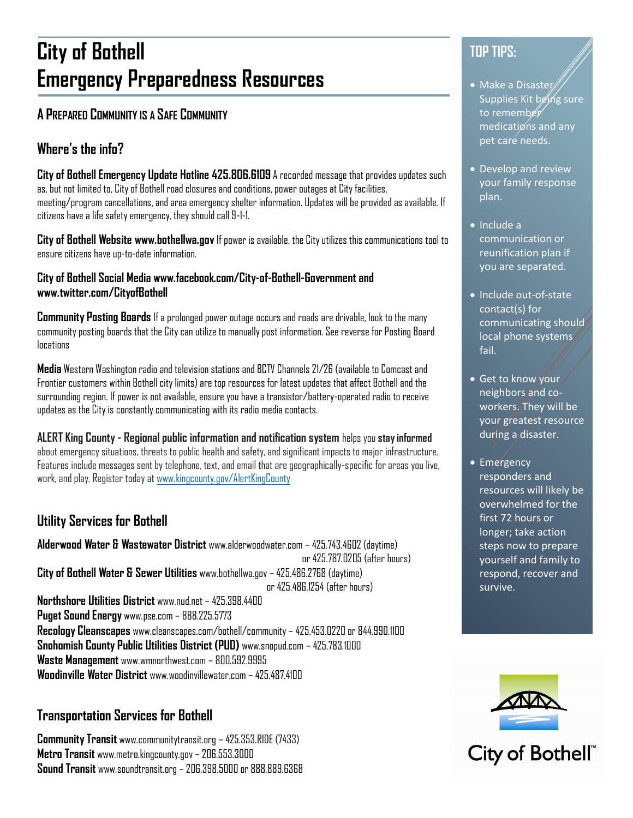## **City of Bothell Emergency Preparedness Resources**

## **A PREPARED COMMUNITY IS A SAFE COMMUNITY**

## **Where's the info?**

**City of Bothell Emergency Update Hotline 425.806.6109** A recorded message that provides updates such as, but not limited to, City of Bothell road closures and conditions, power outages at City facilities, meeting/program cancellations, and area emergency shelter information. Updates will be provided as available. If citizens have a life safety emergency, they should call 9-1-1.

**City of Bothell Website www.bothellwa.gov** If power is available, the City utilizes this communications tool to ensure citizens have up-to-date information.

#### **City of Bothell Social Media www.facebook.com/City-of-Bothell-Government and www.twitter.com/CityofBothell**

**Community Posting Boards** If a prolonged power outage occurs and roads are drivable, look to the many community posting boards that the City can utilize to manually post information. See reverse for Posting Board locations

**Media** Western Washington radio and television stations and BCTV Channels 21/26 (available to Comcast and Frontier customers within Bothell city limits) are top resources for latest updates that affect Bothell and the surrounding region. If power is not available, ensure you have a transistor/battery-operated radio to receive updates as the City is constantly communicating with its radio media contacts.

**ALERT King County - Regional public information and notification system** helps you **stay informed** about emergency situations, threats to public health and safety, and significant impacts to major infrastructure. Features include messages sent by telephone, text, and email that are geographically-specific for areas you live, work, and play. Register today a[t www.kingcounty.gov/AlertKingCounty](http://www.kingcounty.gov/AlertKingCounty)

### **Utility Services for Bothell**

**Alderwood Water & Wastewater District** www.alderwoodwater.com – 425.743.4602 (daytime) or 425.787.0205 (after hours) **City of Bothell Water & Sewer Utilities** www.bothellwa.gov – 425.486.2768 (daytime) or 425.486.1254 (after hours) **Northshore Utilities District** www.nud.net – 425.398.4400 **Puget Sound Energy** www.pse.com – 888.225.5773 **Recology Cleanscapes** www.cleanscapes.com/bothell/community – 425.453.0220 or 844.990.1100 **Snohomish County Public Utilities District (PUD)** www.snopud.com – 425.783.1000 **Waste Management** www.wmnorthwest.com – 800.592.9995 **Woodinville Water District** www.woodinvillewater.com – 425.487.4100

#### **Transportation Services for Bothell**

**Community Transit** www.communitytransit.org – 425.353.RIDE (7433) **Metro Transit** www.metro.kingcounty.gov – 206.553.3000 **Sound Transit** www.soundtransit.org – 206.398.5000 or 888.889.6368

## **TOP TIPS:**

- Make a Disaster Supplies Kit being sure to remember medications and any pet care needs.
- Develop and review your family response plan.
- Include a communication or reunification plan if you are separated.
- Include out-of-state contact(s) for communicating should local phone systems fail.
- Get to know your neighbors and coworkers. They will be your greatest resource during a disaster.
- Emergency responders and resources will likely be overwhelmed for the first 72 hours or longer; take action steps now to prepare yourself and family to respond, recover and survive.



City of Bothell®